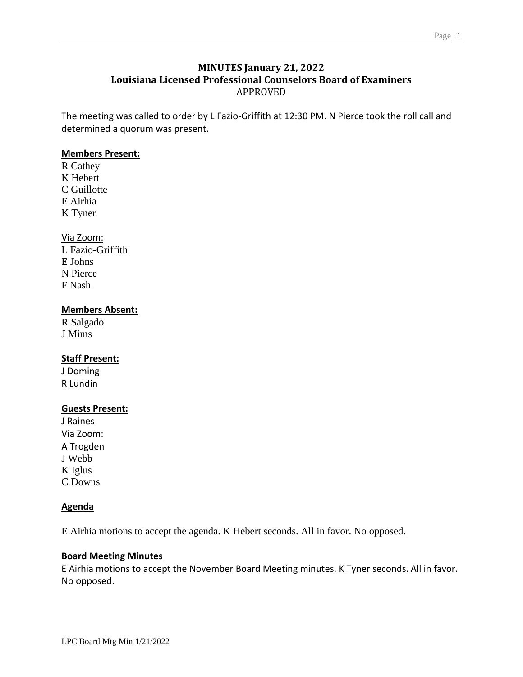## **MINUTES January 21, 2022 Louisiana Licensed Professional Counselors Board of Examiners** APPROVED

The meeting was called to order by L Fazio-Griffith at 12:30 PM. N Pierce took the roll call and determined a quorum was present.

## **Members Present:**

R Cathey K Hebert C Guillotte E Airhia K Tyner

## Via Zoom:

L Fazio-Griffith E Johns N Pierce F Nash

## **Members Absent:**

R Salgado J Mims

## **Staff Present:**

J Doming R Lundin

## **Guests Present:**

J Raines Via Zoom: A Trogden J Webb K Iglus C Downs

## **Agenda**

E Airhia motions to accept the agenda. K Hebert seconds. All in favor. No opposed.

## **Board Meeting Minutes**

E Airhia motions to accept the November Board Meeting minutes. K Tyner seconds. All in favor. No opposed.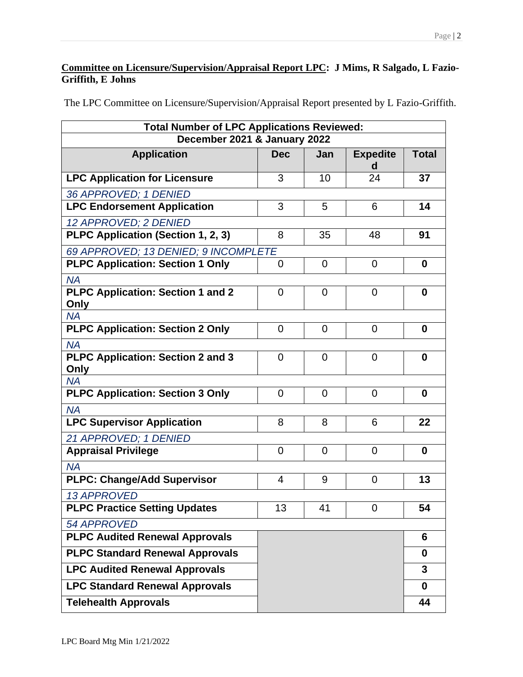# **Committee on Licensure/Supervision/Appraisal Report LPC: J Mims, R Salgado, L Fazio-Griffith, E Johns**

The LPC Committee on Licensure/Supervision/Appraisal Report presented by L Fazio-Griffith.

| <b>Total Number of LPC Applications Reviewed:</b> |                |                |                      |                  |
|---------------------------------------------------|----------------|----------------|----------------------|------------------|
| December 2021 & January 2022                      |                |                |                      |                  |
| <b>Application</b>                                | <b>Dec</b>     | Jan            | <b>Expedite</b><br>d | <b>Total</b>     |
| <b>LPC Application for Licensure</b>              | 3              | 10             | 24                   | 37               |
| 36 APPROVED; 1 DENIED                             |                |                |                      |                  |
| <b>LPC Endorsement Application</b>                | 3              | 5              | 6                    | 14               |
| 12 APPROVED; 2 DENIED                             |                |                |                      |                  |
| PLPC Application (Section 1, 2, 3)                | 8              | 35             | 48                   | 91               |
| 69 APPROVED; 13 DENIED; 9 INCOMPLETE              |                |                |                      |                  |
| <b>PLPC Application: Section 1 Only</b>           | 0              | 0              | 0                    | $\boldsymbol{0}$ |
| <b>NA</b>                                         |                |                |                      |                  |
| <b>PLPC Application: Section 1 and 2</b>          | $\overline{0}$ | $\overline{0}$ | $\overline{0}$       | $\bf{0}$         |
| Only<br><b>NA</b>                                 |                |                |                      |                  |
| <b>PLPC Application: Section 2 Only</b>           | 0              | 0              | $\overline{0}$       | 0                |
| <b>NA</b>                                         |                |                |                      |                  |
| <b>PLPC Application: Section 2 and 3</b>          | $\overline{0}$ | 0              | $\overline{0}$       | $\bf{0}$         |
| Only                                              |                |                |                      |                  |
| <b>NA</b>                                         |                |                |                      |                  |
| <b>PLPC Application: Section 3 Only</b>           | 0              | 0              | $\overline{0}$       | $\bf{0}$         |
| <b>NA</b>                                         |                |                |                      |                  |
| <b>LPC Supervisor Application</b>                 | 8              | 8              | 6                    | 22               |
| 21 APPROVED; 1 DENIED                             |                |                |                      |                  |
| <b>Appraisal Privilege</b>                        | 0              | 0              | 0                    | $\boldsymbol{0}$ |
| <b>NA</b>                                         |                |                |                      |                  |
| <b>PLPC: Change/Add Supervisor</b>                | 4              | 9              | $\overline{0}$       | 13               |
| <b>13 APPROVED</b>                                |                |                |                      |                  |
| <b>PLPC Practice Setting Updates</b>              | 13             | 41             | 0                    | 54               |
| <b>54 APPROVED</b>                                |                |                |                      |                  |
| <b>PLPC Audited Renewal Approvals</b>             |                |                |                      | 6                |
| <b>PLPC Standard Renewal Approvals</b>            |                |                |                      | $\bf{0}$         |
| <b>LPC Audited Renewal Approvals</b>              |                |                |                      | 3                |
| <b>LPC Standard Renewal Approvals</b>             |                |                |                      | 0                |
| <b>Telehealth Approvals</b>                       |                |                |                      | 44               |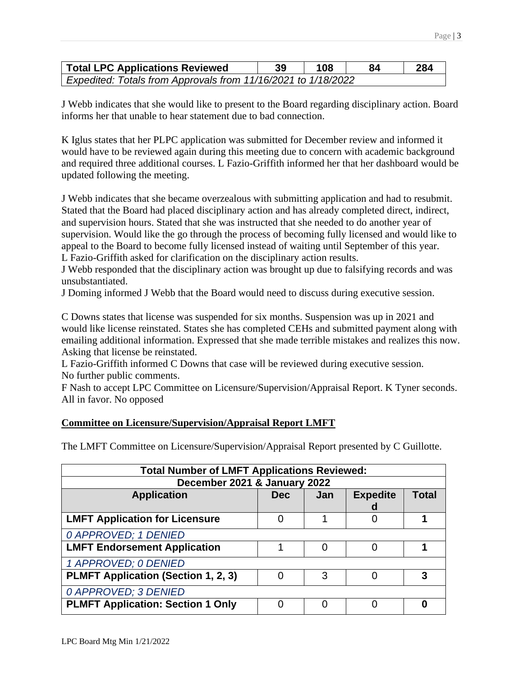| <b>Total LPC Applications Reviewed</b>                        | 108 | 84 | 284 |
|---------------------------------------------------------------|-----|----|-----|
| Expedited: Totals from Approvals from 11/16/2021 to 1/18/2022 |     |    |     |

J Webb indicates that she would like to present to the Board regarding disciplinary action. Board informs her that unable to hear statement due to bad connection.

K Iglus states that her PLPC application was submitted for December review and informed it would have to be reviewed again during this meeting due to concern with academic background and required three additional courses. L Fazio-Griffith informed her that her dashboard would be updated following the meeting.

J Webb indicates that she became overzealous with submitting application and had to resubmit. Stated that the Board had placed disciplinary action and has already completed direct, indirect, and supervision hours. Stated that she was instructed that she needed to do another year of supervision. Would like the go through the process of becoming fully licensed and would like to appeal to the Board to become fully licensed instead of waiting until September of this year. L Fazio-Griffith asked for clarification on the disciplinary action results.

J Webb responded that the disciplinary action was brought up due to falsifying records and was unsubstantiated.

J Doming informed J Webb that the Board would need to discuss during executive session.

C Downs states that license was suspended for six months. Suspension was up in 2021 and would like license reinstated. States she has completed CEHs and submitted payment along with emailing additional information. Expressed that she made terrible mistakes and realizes this now. Asking that license be reinstated.

L Fazio-Griffith informed C Downs that case will be reviewed during executive session. No further public comments.

F Nash to accept LPC Committee on Licensure/Supervision/Appraisal Report. K Tyner seconds. All in favor. No opposed

## **Committee on Licensure/Supervision/Appraisal Report LMFT**

The LMFT Committee on Licensure/Supervision/Appraisal Report presented by C Guillotte.

| <b>Total Number of LMFT Applications Reviewed:</b> |            |     |                 |       |
|----------------------------------------------------|------------|-----|-----------------|-------|
| December 2021 & January 2022                       |            |     |                 |       |
| <b>Application</b>                                 | <b>Dec</b> | Jan | <b>Expedite</b> | Total |
|                                                    |            |     | d               |       |
| <b>LMFT Application for Licensure</b>              | 0          |     | Ω               |       |
| 0 APPROVED; 1 DENIED                               |            |     |                 |       |
| <b>LMFT Endorsement Application</b>                |            | 0   |                 |       |
| 1 APPROVED; 0 DENIED                               |            |     |                 |       |
| <b>PLMFT Application (Section 1, 2, 3)</b>         |            | 3   |                 | 3     |
| 0 APPROVED; 3 DENIED                               |            |     |                 |       |
| <b>PLMFT Application: Section 1 Only</b>           |            |     |                 |       |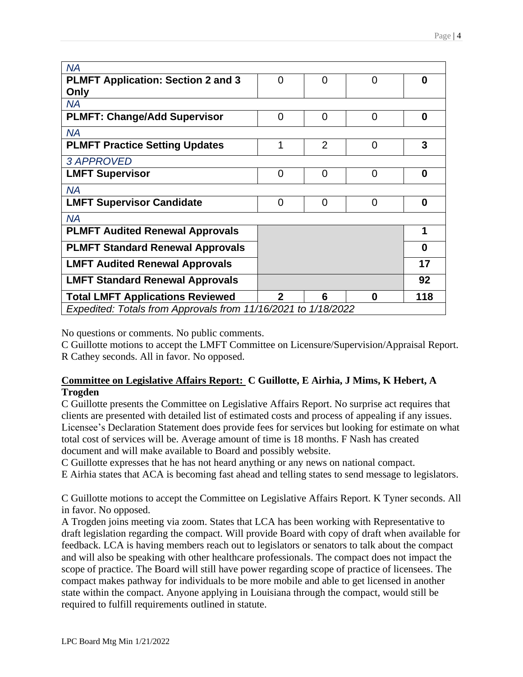| <b>NA</b>                                                     |              |                |                |          |
|---------------------------------------------------------------|--------------|----------------|----------------|----------|
| <b>PLMFT Application: Section 2 and 3</b>                     | 0            | 0              | 0              | 0        |
| Only                                                          |              |                |                |          |
| <b>NA</b>                                                     |              |                |                |          |
| <b>PLMFT: Change/Add Supervisor</b>                           | $\Omega$     | 0              | 0              | 0        |
| <b>NA</b>                                                     |              |                |                |          |
| <b>PLMFT Practice Setting Updates</b>                         | 1            | $\overline{2}$ | $\overline{0}$ | 3        |
| <b>3 APPROVED</b>                                             |              |                |                |          |
| <b>LMFT Supervisor</b>                                        | 0            | $\overline{0}$ | $\overline{0}$ | $\bf{0}$ |
| <b>NA</b>                                                     |              |                |                |          |
| <b>LMFT Supervisor Candidate</b>                              | 0            | 0              | 0              | 0        |
| <b>NA</b>                                                     |              |                |                |          |
| <b>PLMFT Audited Renewal Approvals</b>                        |              |                |                | 1        |
| <b>PLMFT Standard Renewal Approvals</b>                       |              |                |                | 0        |
| <b>LMFT Audited Renewal Approvals</b>                         |              |                |                | 17       |
| <b>LMFT Standard Renewal Approvals</b>                        |              |                |                | 92       |
| <b>Total LMFT Applications Reviewed</b>                       | $\mathbf{2}$ | 6              | 0              | 118      |
| Expedited: Totals from Approvals from 11/16/2021 to 1/18/2022 |              |                |                |          |

No questions or comments. No public comments.

C Guillotte motions to accept the LMFT Committee on Licensure/Supervision/Appraisal Report. R Cathey seconds. All in favor. No opposed.

# **Committee on Legislative Affairs Report: C Guillotte, E Airhia, J Mims, K Hebert, A Trogden**

C Guillotte presents the Committee on Legislative Affairs Report. No surprise act requires that clients are presented with detailed list of estimated costs and process of appealing if any issues. Licensee's Declaration Statement does provide fees for services but looking for estimate on what total cost of services will be. Average amount of time is 18 months. F Nash has created document and will make available to Board and possibly website.

C Guillotte expresses that he has not heard anything or any news on national compact.

E Airhia states that ACA is becoming fast ahead and telling states to send message to legislators.

C Guillotte motions to accept the Committee on Legislative Affairs Report. K Tyner seconds. All in favor. No opposed.

A Trogden joins meeting via zoom. States that LCA has been working with Representative to draft legislation regarding the compact. Will provide Board with copy of draft when available for feedback. LCA is having members reach out to legislators or senators to talk about the compact and will also be speaking with other healthcare professionals. The compact does not impact the scope of practice. The Board will still have power regarding scope of practice of licensees. The compact makes pathway for individuals to be more mobile and able to get licensed in another state within the compact. Anyone applying in Louisiana through the compact, would still be required to fulfill requirements outlined in statute.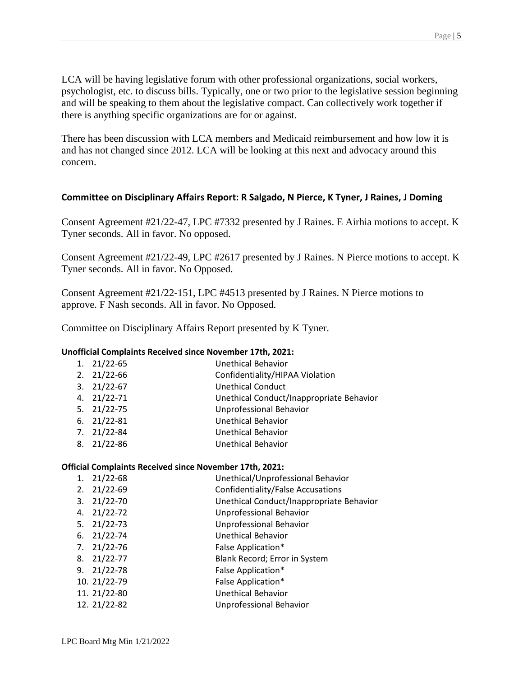LCA will be having legislative forum with other professional organizations, social workers, psychologist, etc. to discuss bills. Typically, one or two prior to the legislative session beginning and will be speaking to them about the legislative compact. Can collectively work together if there is anything specific organizations are for or against.

There has been discussion with LCA members and Medicaid reimbursement and how low it is and has not changed since 2012. LCA will be looking at this next and advocacy around this concern.

## **Committee on Disciplinary Affairs Report: R Salgado, N Pierce, K Tyner, J Raines, J Doming**

Consent Agreement #21/22-47, LPC #7332 presented by J Raines. E Airhia motions to accept. K Tyner seconds. All in favor. No opposed.

Consent Agreement #21/22-49, LPC #2617 presented by J Raines. N Pierce motions to accept. K Tyner seconds. All in favor. No Opposed.

Consent Agreement #21/22-151, LPC #4513 presented by J Raines. N Pierce motions to approve. F Nash seconds. All in favor. No Opposed.

Committee on Disciplinary Affairs Report presented by K Tyner.

## **Unofficial Complaints Received since November 17th, 2021:**

| $1. \quad 21/22 - 65$ | <b>Unethical Behavior</b>                |
|-----------------------|------------------------------------------|
| $2. \quad 21/22 - 66$ | Confidentiality/HIPAA Violation          |
| $3.21/22-67$          | <b>Unethical Conduct</b>                 |
| 4. 21/22-71           | Unethical Conduct/Inappropriate Behavior |
| 5. 21/22-75           | <b>Unprofessional Behavior</b>           |
| $6. \quad 21/22 - 81$ | Unethical Behavior                       |
| 7. 21/22-84           | <b>Unethical Behavior</b>                |
| 8. 21/22-86           | <b>Unethical Behavior</b>                |
|                       |                                          |

### **Official Complaints Received since November 17th, 2021:**

| 1. | $21/22 - 68$          | Unethical/Unprofessional Behavior        |
|----|-----------------------|------------------------------------------|
| 2. | $21/22 - 69$          | <b>Confidentiality/False Accusations</b> |
| 3. | 21/22-70              | Unethical Conduct/Inappropriate Behavior |
|    | 4. 21/22-72           | Unprofessional Behavior                  |
|    | $5. \quad 21/22-73$   | Unprofessional Behavior                  |
|    | $6. \quad 21/22 - 74$ | <b>Unethical Behavior</b>                |
|    | $7.21/22-76$          | False Application*                       |
|    | 8. 21/22-77           | Blank Record; Error in System            |
|    | $9. \quad 21/22 - 78$ | False Application*                       |
|    | 10. 21/22-79          | False Application*                       |
|    | 11. 21/22-80          | Unethical Behavior                       |
|    | 12. 21/22-82          | Unprofessional Behavior                  |
|    |                       |                                          |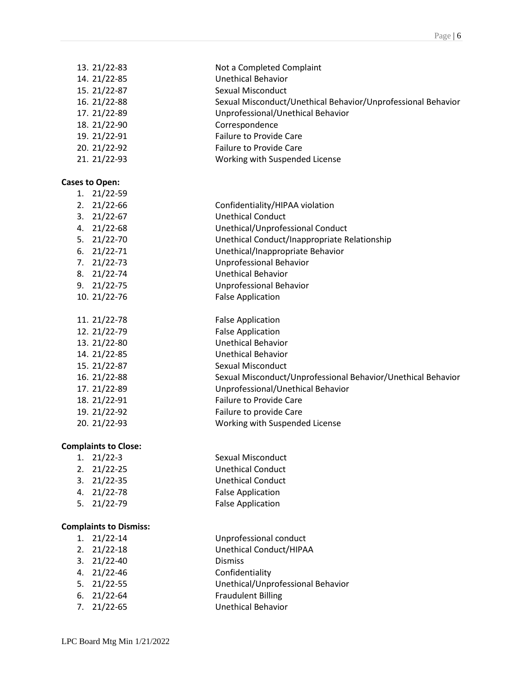| 13. 21/22-83 | Not a Completed Complaint                                    |
|--------------|--------------------------------------------------------------|
| 14. 21/22-85 | Unethical Behavior                                           |
| 15. 21/22-87 | Sexual Misconduct                                            |
| 16. 21/22-88 | Sexual Misconduct/Unethical Behavior/Unprofessional Behavior |
| 17. 21/22-89 | Unprofessional/Unethical Behavior                            |
| 18. 21/22-90 | Correspondence                                               |
| 19. 21/22-91 | <b>Failure to Provide Care</b>                               |
| 20. 21/22-92 | <b>Failure to Provide Care</b>                               |
| 21. 21/22-93 | Working with Suspended License                               |

#### **Cases to Open:**

| 1. | 21/22-59              |                                                              |
|----|-----------------------|--------------------------------------------------------------|
| 2. | 21/22-66              | Confidentiality/HIPAA violation                              |
|    | $3. \quad 21/22 - 67$ | <b>Unethical Conduct</b>                                     |
| 4. | $21/22 - 68$          | Unethical/Unprofessional Conduct                             |
|    | $5. \quad 21/22 - 70$ | Unethical Conduct/Inappropriate Relationship                 |
| 6. | 21/22-71              | Unethical/Inappropriate Behavior                             |
| 7. | 21/22-73              | Unprofessional Behavior                                      |
|    | 8. 21/22-74           | Unethical Behavior                                           |
|    | $9. \quad 21/22 - 75$ | Unprofessional Behavior                                      |
|    | 10. 21/22-76          | <b>False Application</b>                                     |
|    |                       |                                                              |
|    | 11. 21/22-78          | <b>False Application</b>                                     |
|    | 12. 21/22-79          | <b>False Application</b>                                     |
|    | 13. 21/22-80          | <b>Unethical Behavior</b>                                    |
|    | 14. 21/22-85          | Unethical Behavior                                           |
|    | 15. 21/22-87          | Sexual Misconduct                                            |
|    | 16. 21/22-88          | Sexual Misconduct/Unprofessional Behavior/Unethical Behavior |
|    | 17. 21/22-89          | Unprofessional/Unethical Behavior                            |
|    | 18. 21/22-91          | <b>Failure to Provide Care</b>                               |
|    | 19. 21/22-92          | Failure to provide Care                                      |

#### **Complaints to Close:**

| $1. \quad 21/22 - 3$  | Sexual Misconduct        |
|-----------------------|--------------------------|
| $2. \quad 21/22 - 25$ | <b>Unethical Conduct</b> |

- 3. 21/22-35 Unethical Conduct<br>
4. 21/22-78 False Application
	- False Application
- 5. 21/22-79 False Application

### **Complaints to Dismiss:**

| $1. \quad 21/22-14$ | Unprofessional conduct |
|---------------------|------------------------|
|                     | .                      |

2. 21/22-18 Unethical Conduct/HIPAA

20. 21/22-93 Working with Suspended License

- 3. 21/22-40 Dismiss
- 4. 21/22-46 Confidentiality
- 5. 21/22-55 Unethical/Unprofessional Behavior
- 6. 21/22-64 Fraudulent Billing<br>7. 21/22-65 Unethical Behavio
- Unethical Behavior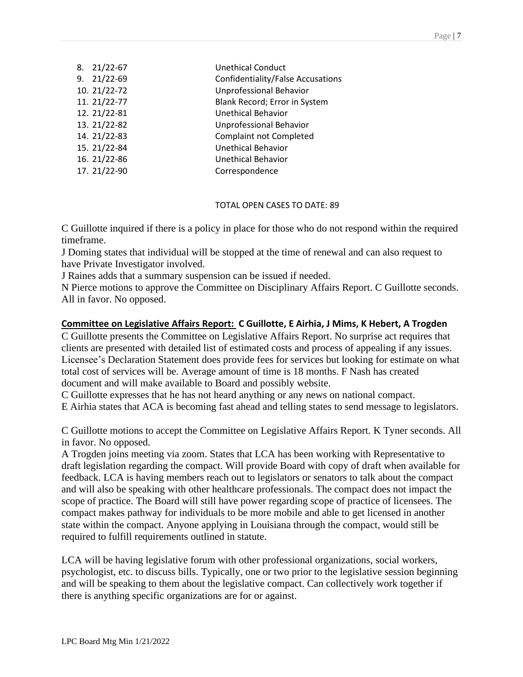| 8. | $21/22 - 67$ | <b>Unethical Conduct</b>          |
|----|--------------|-----------------------------------|
| 9. | $21/22 - 69$ | Confidentiality/False Accusations |
|    | 10. 21/22-72 | <b>Unprofessional Behavior</b>    |
|    | 11. 21/22-77 | Blank Record; Error in System     |
|    | 12. 21/22-81 | Unethical Behavior                |
|    | 13. 21/22-82 | Unprofessional Behavior           |
|    | 14. 21/22-83 | <b>Complaint not Completed</b>    |
|    | 15. 21/22-84 | <b>Unethical Behavior</b>         |
|    | 16. 21/22-86 | Unethical Behavior                |
|    | 17. 21/22-90 | Correspondence                    |
|    |              |                                   |

## TOTAL OPEN CASES TO DATE: 89

C Guillotte inquired if there is a policy in place for those who do not respond within the required timeframe.

J Doming states that individual will be stopped at the time of renewal and can also request to have Private Investigator involved.

J Raines adds that a summary suspension can be issued if needed.

N Pierce motions to approve the Committee on Disciplinary Affairs Report. C Guillotte seconds. All in favor. No opposed.

# **Committee on Legislative Affairs Report: C Guillotte, E Airhia, J Mims, K Hebert, A Trogden**

C Guillotte presents the Committee on Legislative Affairs Report. No surprise act requires that clients are presented with detailed list of estimated costs and process of appealing if any issues. Licensee's Declaration Statement does provide fees for services but looking for estimate on what total cost of services will be. Average amount of time is 18 months. F Nash has created document and will make available to Board and possibly website.

C Guillotte expresses that he has not heard anything or any news on national compact.

E Airhia states that ACA is becoming fast ahead and telling states to send message to legislators.

C Guillotte motions to accept the Committee on Legislative Affairs Report. K Tyner seconds. All in favor. No opposed.

A Trogden joins meeting via zoom. States that LCA has been working with Representative to draft legislation regarding the compact. Will provide Board with copy of draft when available for feedback. LCA is having members reach out to legislators or senators to talk about the compact and will also be speaking with other healthcare professionals. The compact does not impact the scope of practice. The Board will still have power regarding scope of practice of licensees. The compact makes pathway for individuals to be more mobile and able to get licensed in another state within the compact. Anyone applying in Louisiana through the compact, would still be required to fulfill requirements outlined in statute.

LCA will be having legislative forum with other professional organizations, social workers, psychologist, etc. to discuss bills. Typically, one or two prior to the legislative session beginning and will be speaking to them about the legislative compact. Can collectively work together if there is anything specific organizations are for or against.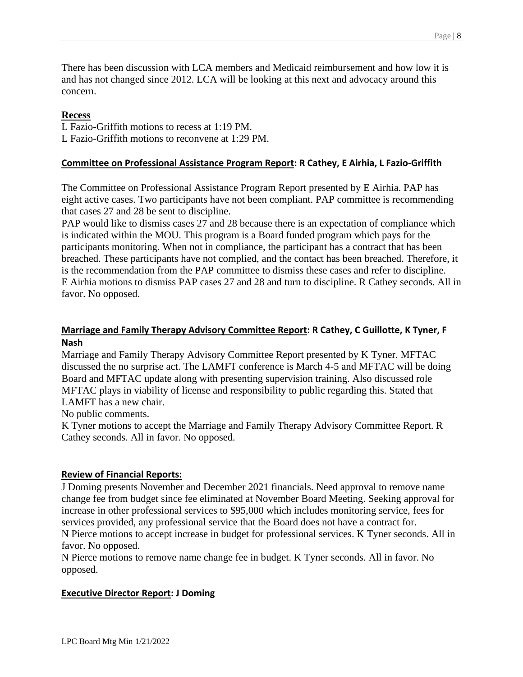There has been discussion with LCA members and Medicaid reimbursement and how low it is and has not changed since 2012. LCA will be looking at this next and advocacy around this concern.

### **Recess**

L Fazio-Griffith motions to recess at 1:19 PM.

L Fazio-Griffith motions to reconvene at 1:29 PM.

### **Committee on Professional Assistance Program Report: R Cathey, E Airhia, L Fazio-Griffith**

The Committee on Professional Assistance Program Report presented by E Airhia. PAP has eight active cases. Two participants have not been compliant. PAP committee is recommending that cases 27 and 28 be sent to discipline.

PAP would like to dismiss cases 27 and 28 because there is an expectation of compliance which is indicated within the MOU. This program is a Board funded program which pays for the participants monitoring. When not in compliance, the participant has a contract that has been breached. These participants have not complied, and the contact has been breached. Therefore, it is the recommendation from the PAP committee to dismiss these cases and refer to discipline. E Airhia motions to dismiss PAP cases 27 and 28 and turn to discipline. R Cathey seconds. All in favor. No opposed.

## **Marriage and Family Therapy Advisory Committee Report: R Cathey, C Guillotte, K Tyner, F Nash**

Marriage and Family Therapy Advisory Committee Report presented by K Tyner. MFTAC discussed the no surprise act. The LAMFT conference is March 4-5 and MFTAC will be doing Board and MFTAC update along with presenting supervision training. Also discussed role MFTAC plays in viability of license and responsibility to public regarding this. Stated that LAMFT has a new chair.

No public comments.

K Tyner motions to accept the Marriage and Family Therapy Advisory Committee Report. R Cathey seconds. All in favor. No opposed.

## **Review of Financial Reports:**

J Doming presents November and December 2021 financials. Need approval to remove name change fee from budget since fee eliminated at November Board Meeting. Seeking approval for increase in other professional services to \$95,000 which includes monitoring service, fees for services provided, any professional service that the Board does not have a contract for. N Pierce motions to accept increase in budget for professional services. K Tyner seconds. All in

favor. No opposed.

N Pierce motions to remove name change fee in budget. K Tyner seconds. All in favor. No opposed.

### **Executive Director Report: J Doming**